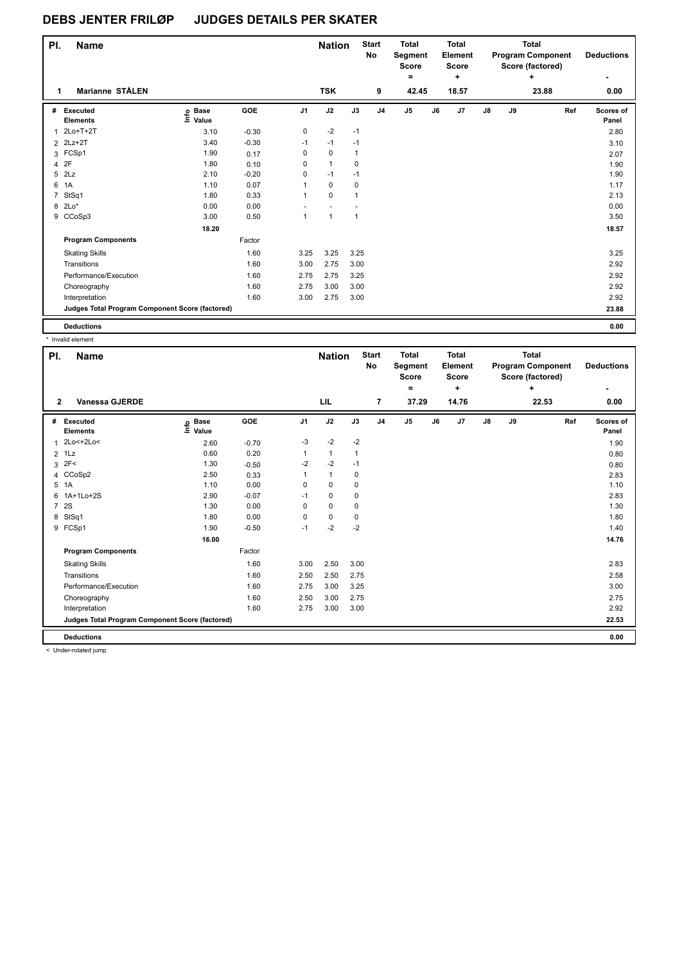| PI.<br><b>Name</b>                              |                                  |         |              | <b>Nation</b> |              | <b>Start</b><br>No | <b>Total</b><br>Segment<br><b>Score</b><br>۰ |    | Total<br>Element<br><b>Score</b><br>٠ |    |    | Total<br><b>Program Component</b><br>Score (factored)<br>$\ddot{}$ | <b>Deductions</b>  |
|-------------------------------------------------|----------------------------------|---------|--------------|---------------|--------------|--------------------|----------------------------------------------|----|---------------------------------------|----|----|--------------------------------------------------------------------|--------------------|
| Marianne STÅLEN<br>1                            |                                  |         |              | <b>TSK</b>    |              | 9                  | 42.45                                        |    | 18.57                                 |    |    | 23.88                                                              | 0.00               |
| Executed<br>#<br><b>Elements</b>                | <b>Base</b><br>e Base<br>⊑ Value | GOE     | J1           | J2            | J3           | J <sub>4</sub>     | J <sub>5</sub>                               | J6 | J7                                    | J8 | J9 | Ref                                                                | Scores of<br>Panel |
| 1 2Lo+T+2T                                      | 3.10                             | $-0.30$ | 0            | $-2$          | $-1$         |                    |                                              |    |                                       |    |    |                                                                    | 2.80               |
| 2 2Lz+2T                                        | 3.40                             | $-0.30$ | $-1$         | $-1$          | $-1$         |                    |                                              |    |                                       |    |    |                                                                    | 3.10               |
| 3 FCSp1                                         | 1.90                             | 0.17    | 0            | $\mathbf 0$   | 1            |                    |                                              |    |                                       |    |    |                                                                    | 2.07               |
| 2F<br>4                                         | 1.80                             | 0.10    | 0            | $\mathbf{1}$  | 0            |                    |                                              |    |                                       |    |    |                                                                    | 1.90               |
| 2Lz<br>5                                        | 2.10                             | $-0.20$ | 0            | $-1$          | $-1$         |                    |                                              |    |                                       |    |    |                                                                    | 1.90               |
| 1A<br>6                                         | 1.10                             | 0.07    | $\mathbf{1}$ | $\mathbf 0$   | 0            |                    |                                              |    |                                       |    |    |                                                                    | 1.17               |
| 7 StSq1                                         | 1.80                             | 0.33    | 1            | $\Omega$      | $\mathbf{1}$ |                    |                                              |    |                                       |    |    |                                                                    | 2.13               |
| 8 2Lo*                                          | 0.00                             | 0.00    |              |               |              |                    |                                              |    |                                       |    |    |                                                                    | 0.00               |
| 9 CCoSp3                                        | 3.00                             | 0.50    | $\mathbf{1}$ | $\mathbf{1}$  | $\mathbf{1}$ |                    |                                              |    |                                       |    |    |                                                                    | 3.50               |
|                                                 | 18.20                            |         |              |               |              |                    |                                              |    |                                       |    |    |                                                                    | 18.57              |
| <b>Program Components</b>                       |                                  | Factor  |              |               |              |                    |                                              |    |                                       |    |    |                                                                    |                    |
| <b>Skating Skills</b>                           |                                  | 1.60    | 3.25         | 3.25          | 3.25         |                    |                                              |    |                                       |    |    |                                                                    | 3.25               |
| Transitions                                     |                                  | 1.60    | 3.00         | 2.75          | 3.00         |                    |                                              |    |                                       |    |    |                                                                    | 2.92               |
| Performance/Execution                           |                                  | 1.60    | 2.75         | 2.75          | 3.25         |                    |                                              |    |                                       |    |    |                                                                    | 2.92               |
| Choreography                                    |                                  | 1.60    | 2.75         | 3.00          | 3.00         |                    |                                              |    |                                       |    |    |                                                                    | 2.92               |
| Interpretation                                  |                                  | 1.60    | 3.00         | 2.75          | 3.00         |                    |                                              |    |                                       |    |    |                                                                    | 2.92               |
| Judges Total Program Component Score (factored) |                                  |         |              |               |              |                    |                                              |    |                                       |    |    |                                                                    | 23.88              |
| <b>Deductions</b>                               |                                  |         |              |               |              |                    |                                              |    |                                       |    |    |                                                                    | 0.00               |
| * Invalid element                               |                                  |         |              |               |              |                    |                                              |    |                                       |    |    |                                                                    |                    |

| <b>Total</b><br><b>Start</b><br><b>Total</b><br><b>Total</b><br>PI.<br><b>Nation</b><br><b>Name</b><br><b>Program Component</b><br>No<br>Segment<br><b>Element</b><br><b>Score</b><br>Score<br>Score (factored)<br>۰<br>÷<br>٠<br>LIL<br>22.53<br><b>Vanessa GJERDE</b><br>$\overline{7}$<br>37.29<br>14.76<br>$\overline{2}$<br>0.00<br>GOE<br>J2<br>J <sub>5</sub><br>$\mathsf{J}8$<br>J <sub>1</sub><br>J3<br>J7<br>J9<br>Ref<br>Executed<br><b>Base</b><br>J <sub>4</sub><br>J6<br>#<br>١m<br>Value<br><b>Elements</b><br>Panel<br>$-2$<br>2Lo<+2Lo<<br>$-2$<br>$-3$<br>2.60<br>$-0.70$<br>1<br>1.90<br>0.60<br>0.20<br>$\mathbf{1}$<br>1Lz<br>1<br>1<br>$\overline{2}$<br>0.80<br>2F<<br>$-2$<br>$-2$<br>1.30<br>$-1$<br>3<br>$-0.50$<br>0.80<br>CCoSp2<br>2.50<br>$\mathbf{1}$<br>0<br>0.33<br>1<br>2.83<br>$\overline{4}$<br>5<br>1A<br>0.00<br>$\Omega$<br>1.10<br>$\Omega$<br>0<br>1.10<br>$-0.07$<br>1A+1Lo+2S<br>2.90<br>$-1$<br>0<br>0<br>2.83<br>6<br>2S<br>0.00<br>$\mathbf 0$<br>$\overline{7}$<br>1.30<br>$\mathbf 0$<br>1.30<br>0<br>StSq1<br>0.00<br>$\mathbf 0$<br>1.80<br>0<br>0<br>1.80<br>8<br>$-2$<br>$-0.50$<br>$-2$<br>9 FCSp1<br>1.90<br>$-1$<br>1.40<br>16.00<br>14.76<br><b>Program Components</b><br>Factor<br>1.60<br>2.50<br>3.00<br>3.00<br>2.83<br><b>Skating Skills</b><br>1.60<br>2.50<br>2.58<br>Transitions<br>2.50<br>2.75<br>Performance/Execution<br>3.00<br>1.60<br>2.75<br>3.25<br>3.00<br>1.60<br>3.00<br>2.75<br>2.75<br>2.50<br>Choreography<br>1.60<br>3.00<br>2.92<br>Interpretation<br>2.75<br>3.00<br>Judges Total Program Component Score (factored)<br>22.53<br><b>Deductions</b><br>0.00 |  |  |  |  |  |  |  |                   |
|----------------------------------------------------------------------------------------------------------------------------------------------------------------------------------------------------------------------------------------------------------------------------------------------------------------------------------------------------------------------------------------------------------------------------------------------------------------------------------------------------------------------------------------------------------------------------------------------------------------------------------------------------------------------------------------------------------------------------------------------------------------------------------------------------------------------------------------------------------------------------------------------------------------------------------------------------------------------------------------------------------------------------------------------------------------------------------------------------------------------------------------------------------------------------------------------------------------------------------------------------------------------------------------------------------------------------------------------------------------------------------------------------------------------------------------------------------------------------------------------------------------------------------------------------------------------------------------------------------------------------------------------|--|--|--|--|--|--|--|-------------------|
|                                                                                                                                                                                                                                                                                                                                                                                                                                                                                                                                                                                                                                                                                                                                                                                                                                                                                                                                                                                                                                                                                                                                                                                                                                                                                                                                                                                                                                                                                                                                                                                                                                              |  |  |  |  |  |  |  | <b>Deductions</b> |
|                                                                                                                                                                                                                                                                                                                                                                                                                                                                                                                                                                                                                                                                                                                                                                                                                                                                                                                                                                                                                                                                                                                                                                                                                                                                                                                                                                                                                                                                                                                                                                                                                                              |  |  |  |  |  |  |  |                   |
|                                                                                                                                                                                                                                                                                                                                                                                                                                                                                                                                                                                                                                                                                                                                                                                                                                                                                                                                                                                                                                                                                                                                                                                                                                                                                                                                                                                                                                                                                                                                                                                                                                              |  |  |  |  |  |  |  |                   |
|                                                                                                                                                                                                                                                                                                                                                                                                                                                                                                                                                                                                                                                                                                                                                                                                                                                                                                                                                                                                                                                                                                                                                                                                                                                                                                                                                                                                                                                                                                                                                                                                                                              |  |  |  |  |  |  |  | Scores of         |
|                                                                                                                                                                                                                                                                                                                                                                                                                                                                                                                                                                                                                                                                                                                                                                                                                                                                                                                                                                                                                                                                                                                                                                                                                                                                                                                                                                                                                                                                                                                                                                                                                                              |  |  |  |  |  |  |  |                   |
|                                                                                                                                                                                                                                                                                                                                                                                                                                                                                                                                                                                                                                                                                                                                                                                                                                                                                                                                                                                                                                                                                                                                                                                                                                                                                                                                                                                                                                                                                                                                                                                                                                              |  |  |  |  |  |  |  |                   |
|                                                                                                                                                                                                                                                                                                                                                                                                                                                                                                                                                                                                                                                                                                                                                                                                                                                                                                                                                                                                                                                                                                                                                                                                                                                                                                                                                                                                                                                                                                                                                                                                                                              |  |  |  |  |  |  |  |                   |
|                                                                                                                                                                                                                                                                                                                                                                                                                                                                                                                                                                                                                                                                                                                                                                                                                                                                                                                                                                                                                                                                                                                                                                                                                                                                                                                                                                                                                                                                                                                                                                                                                                              |  |  |  |  |  |  |  |                   |
|                                                                                                                                                                                                                                                                                                                                                                                                                                                                                                                                                                                                                                                                                                                                                                                                                                                                                                                                                                                                                                                                                                                                                                                                                                                                                                                                                                                                                                                                                                                                                                                                                                              |  |  |  |  |  |  |  |                   |
|                                                                                                                                                                                                                                                                                                                                                                                                                                                                                                                                                                                                                                                                                                                                                                                                                                                                                                                                                                                                                                                                                                                                                                                                                                                                                                                                                                                                                                                                                                                                                                                                                                              |  |  |  |  |  |  |  |                   |
|                                                                                                                                                                                                                                                                                                                                                                                                                                                                                                                                                                                                                                                                                                                                                                                                                                                                                                                                                                                                                                                                                                                                                                                                                                                                                                                                                                                                                                                                                                                                                                                                                                              |  |  |  |  |  |  |  |                   |
|                                                                                                                                                                                                                                                                                                                                                                                                                                                                                                                                                                                                                                                                                                                                                                                                                                                                                                                                                                                                                                                                                                                                                                                                                                                                                                                                                                                                                                                                                                                                                                                                                                              |  |  |  |  |  |  |  |                   |
|                                                                                                                                                                                                                                                                                                                                                                                                                                                                                                                                                                                                                                                                                                                                                                                                                                                                                                                                                                                                                                                                                                                                                                                                                                                                                                                                                                                                                                                                                                                                                                                                                                              |  |  |  |  |  |  |  |                   |
|                                                                                                                                                                                                                                                                                                                                                                                                                                                                                                                                                                                                                                                                                                                                                                                                                                                                                                                                                                                                                                                                                                                                                                                                                                                                                                                                                                                                                                                                                                                                                                                                                                              |  |  |  |  |  |  |  |                   |
|                                                                                                                                                                                                                                                                                                                                                                                                                                                                                                                                                                                                                                                                                                                                                                                                                                                                                                                                                                                                                                                                                                                                                                                                                                                                                                                                                                                                                                                                                                                                                                                                                                              |  |  |  |  |  |  |  |                   |
|                                                                                                                                                                                                                                                                                                                                                                                                                                                                                                                                                                                                                                                                                                                                                                                                                                                                                                                                                                                                                                                                                                                                                                                                                                                                                                                                                                                                                                                                                                                                                                                                                                              |  |  |  |  |  |  |  |                   |
|                                                                                                                                                                                                                                                                                                                                                                                                                                                                                                                                                                                                                                                                                                                                                                                                                                                                                                                                                                                                                                                                                                                                                                                                                                                                                                                                                                                                                                                                                                                                                                                                                                              |  |  |  |  |  |  |  |                   |
|                                                                                                                                                                                                                                                                                                                                                                                                                                                                                                                                                                                                                                                                                                                                                                                                                                                                                                                                                                                                                                                                                                                                                                                                                                                                                                                                                                                                                                                                                                                                                                                                                                              |  |  |  |  |  |  |  |                   |
|                                                                                                                                                                                                                                                                                                                                                                                                                                                                                                                                                                                                                                                                                                                                                                                                                                                                                                                                                                                                                                                                                                                                                                                                                                                                                                                                                                                                                                                                                                                                                                                                                                              |  |  |  |  |  |  |  |                   |
|                                                                                                                                                                                                                                                                                                                                                                                                                                                                                                                                                                                                                                                                                                                                                                                                                                                                                                                                                                                                                                                                                                                                                                                                                                                                                                                                                                                                                                                                                                                                                                                                                                              |  |  |  |  |  |  |  |                   |
|                                                                                                                                                                                                                                                                                                                                                                                                                                                                                                                                                                                                                                                                                                                                                                                                                                                                                                                                                                                                                                                                                                                                                                                                                                                                                                                                                                                                                                                                                                                                                                                                                                              |  |  |  |  |  |  |  |                   |
|                                                                                                                                                                                                                                                                                                                                                                                                                                                                                                                                                                                                                                                                                                                                                                                                                                                                                                                                                                                                                                                                                                                                                                                                                                                                                                                                                                                                                                                                                                                                                                                                                                              |  |  |  |  |  |  |  |                   |

< Under-rotated jump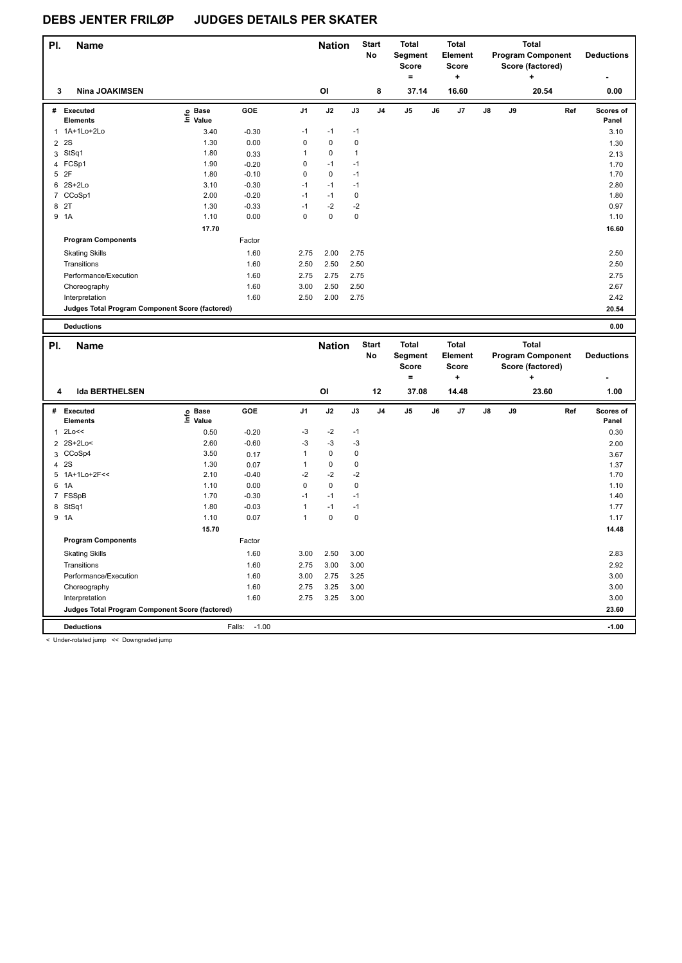| PI.            | <b>Name</b>                                     |                   |                    |                   | <b>Nation</b>       |                        | <b>Start</b><br>No | Total<br>Segment<br><b>Score</b><br>$=$ |    | <b>Total</b><br>Element<br><b>Score</b><br>÷ |    |    | <b>Total</b><br><b>Program Component</b><br>Score (factored) |     | <b>Deductions</b> |
|----------------|-------------------------------------------------|-------------------|--------------------|-------------------|---------------------|------------------------|--------------------|-----------------------------------------|----|----------------------------------------------|----|----|--------------------------------------------------------------|-----|-------------------|
| 3              | <b>Nina JOAKIMSEN</b>                           |                   |                    |                   | OI                  |                        | 8                  | 37.14                                   |    | 16.60                                        |    |    | 20.54                                                        |     | 0.00              |
|                | # Executed                                      | e Base<br>E Value | GOE                | J1                | J2                  | J3                     | J <sub>4</sub>     | J5                                      | J6 | J7                                           | J8 | J9 |                                                              | Ref | Scores of         |
|                | <b>Elements</b><br>1 1A+1Lo+2Lo                 |                   |                    |                   |                     |                        |                    |                                         |    |                                              |    |    |                                                              |     | Panel             |
|                |                                                 | 3.40              | $-0.30$            | -1                | $-1$                | $-1$                   |                    |                                         |    |                                              |    |    |                                                              |     | 3.10              |
| $\overline{2}$ | 2S                                              | 1.30              | 0.00               | 0                 | $\mathbf 0$         | $\pmb{0}$              |                    |                                         |    |                                              |    |    |                                                              |     | 1.30              |
|                | 3 StSq1<br>4 FCSp1                              | 1.80<br>1.90      | 0.33               | $\mathbf{1}$<br>0 | $\mathbf 0$<br>$-1$ | $\overline{1}$<br>$-1$ |                    |                                         |    |                                              |    |    |                                                              |     | 2.13              |
|                | 5 2F                                            | 1.80              | $-0.20$<br>$-0.10$ | 0                 | 0                   | $-1$                   |                    |                                         |    |                                              |    |    |                                                              |     | 1.70<br>1.70      |
|                | 6 2S+2Lo                                        | 3.10              | $-0.30$            | $-1$              | $-1$                | $-1$                   |                    |                                         |    |                                              |    |    |                                                              |     | 2.80              |
|                | 7 CCoSp1                                        | 2.00              | $-0.20$            | $-1$              | $-1$                | $\pmb{0}$              |                    |                                         |    |                                              |    |    |                                                              |     | 1.80              |
|                |                                                 |                   |                    | $-1$              | $-2$                |                        |                    |                                         |    |                                              |    |    |                                                              |     |                   |
|                | 8 2T<br>9 1A                                    | 1.30<br>1.10      | $-0.33$<br>0.00    | 0                 | 0                   | $-2$<br>$\mathbf 0$    |                    |                                         |    |                                              |    |    |                                                              |     | 0.97<br>1.10      |
|                |                                                 |                   |                    |                   |                     |                        |                    |                                         |    |                                              |    |    |                                                              |     |                   |
|                |                                                 | 17.70             |                    |                   |                     |                        |                    |                                         |    |                                              |    |    |                                                              |     | 16.60             |
|                | <b>Program Components</b>                       |                   | Factor             |                   |                     |                        |                    |                                         |    |                                              |    |    |                                                              |     |                   |
|                | <b>Skating Skills</b>                           |                   | 1.60               | 2.75              | 2.00                | 2.75                   |                    |                                         |    |                                              |    |    |                                                              |     | 2.50              |
|                | Transitions                                     |                   | 1.60               | 2.50              | 2.50                | 2.50                   |                    |                                         |    |                                              |    |    |                                                              |     | 2.50              |
|                | Performance/Execution                           |                   | 1.60               | 2.75              | 2.75                | 2.75                   |                    |                                         |    |                                              |    |    |                                                              |     | 2.75              |
|                | Choreography                                    |                   | 1.60               | 3.00              | 2.50                | 2.50                   |                    |                                         |    |                                              |    |    |                                                              |     | 2.67              |
|                | Interpretation                                  |                   | 1.60               | 2.50              | 2.00                | 2.75                   |                    |                                         |    |                                              |    |    |                                                              |     | 2.42              |
|                | Judges Total Program Component Score (factored) |                   |                    |                   |                     |                        |                    |                                         |    |                                              |    |    |                                                              |     | 20.54             |
|                |                                                 |                   |                    |                   |                     |                        |                    |                                         |    |                                              |    |    |                                                              |     |                   |
|                | <b>Deductions</b>                               |                   |                    |                   |                     |                        |                    |                                         |    |                                              |    |    |                                                              |     | 0.00              |
|                |                                                 |                   |                    |                   |                     |                        |                    |                                         |    |                                              |    |    |                                                              |     |                   |
|                |                                                 |                   |                    |                   |                     |                        |                    |                                         |    |                                              |    |    |                                                              |     |                   |
| PI.            | <b>Name</b>                                     |                   |                    |                   | <b>Nation</b>       |                        | <b>Start</b><br>No | <b>Total</b>                            |    | <b>Total</b>                                 |    |    | <b>Total</b>                                                 |     |                   |
|                |                                                 |                   |                    |                   |                     |                        |                    | Segment<br><b>Score</b>                 |    | Element<br><b>Score</b>                      |    |    | <b>Program Component</b>                                     |     | <b>Deductions</b> |
|                |                                                 |                   |                    |                   |                     |                        |                    | $=$                                     |    | ÷                                            |    |    | Score (factored)<br>٠                                        |     |                   |
|                |                                                 |                   |                    |                   |                     |                        |                    |                                         |    |                                              |    |    |                                                              |     |                   |
| 4              | <b>Ida BERTHELSEN</b>                           |                   |                    |                   | OI                  |                        | 12                 | 37.08                                   |    | 14.48                                        |    |    | 23.60                                                        |     | 1.00              |
|                | # Executed                                      |                   | GOE                | J1                | J2                  | J3                     | J <sub>4</sub>     | J5                                      | J6 | J7                                           | J8 | J9 |                                                              | Ref | Scores of         |
|                | <b>Elements</b>                                 | e Base<br>E Value |                    |                   |                     |                        |                    |                                         |    |                                              |    |    |                                                              |     | Panel             |
| $\mathbf{1}$   | 2Lo<<                                           | 0.50              | $-0.20$            | -3                | $-2$                | $-1$                   |                    |                                         |    |                                              |    |    |                                                              |     | 0.30              |
|                | 2 2S+2Lo<                                       | 2.60              | $-0.60$            | -3                | $-3$                | $-3$                   |                    |                                         |    |                                              |    |    |                                                              |     | 2.00              |
|                | 3 CCoSp4                                        | 3.50              | 0.17               | $\mathbf{1}$      | 0                   | $\pmb{0}$              |                    |                                         |    |                                              |    |    |                                                              |     | 3.67              |
|                | 4 2 S                                           | 1.30              | 0.07               | $\mathbf{1}$      | 0                   | $\pmb{0}$              |                    |                                         |    |                                              |    |    |                                                              |     | 1.37              |
|                | 5 1A+1Lo+2F<<                                   | 2.10              | $-0.40$            | $-2$              | $-2$                | $-2$                   |                    |                                         |    |                                              |    |    |                                                              |     | 1.70              |
| 6              | 1A                                              | 1.10              | 0.00               | $\mathbf 0$       | $\mathbf 0$         | $\pmb{0}$              |                    |                                         |    |                                              |    |    |                                                              |     | 1.10              |
|                | 7 FSSpB                                         | 1.70              | $-0.30$            | $-1$              | $-1$                | $-1$                   |                    |                                         |    |                                              |    |    |                                                              |     | 1.40              |
|                |                                                 | 1.80              | $-0.03$            | $\overline{1}$    | $-1$                | $-1$                   |                    |                                         |    |                                              |    |    |                                                              |     | 1.77              |
|                | 8 StSq1<br>9 1A                                 | 1.10              | 0.07               | $\mathbf{1}$      | 0                   | $\pmb{0}$              |                    |                                         |    |                                              |    |    |                                                              |     | 1.17              |
|                |                                                 |                   |                    |                   |                     |                        |                    |                                         |    |                                              |    |    |                                                              |     |                   |
|                |                                                 | 15.70             |                    |                   |                     |                        |                    |                                         |    |                                              |    |    |                                                              |     | 14.48             |
|                | <b>Program Components</b>                       |                   | Factor             |                   |                     |                        |                    |                                         |    |                                              |    |    |                                                              |     |                   |
|                | <b>Skating Skills</b>                           |                   | 1.60               | 3.00              | 2.50                | 3.00                   |                    |                                         |    |                                              |    |    |                                                              |     | 2.83              |
|                | Transitions                                     |                   | 1.60               | 2.75              | 3.00                | 3.00                   |                    |                                         |    |                                              |    |    |                                                              |     | 2.92              |
|                | Performance/Execution                           |                   | 1.60               | 3.00              | 2.75                | 3.25                   |                    |                                         |    |                                              |    |    |                                                              |     | 3.00              |
|                | Choreography                                    |                   | 1.60               | 2.75              | 3.25                | 3.00                   |                    |                                         |    |                                              |    |    |                                                              |     | 3.00              |
|                | Interpretation                                  |                   | 1.60               | 2.75              | 3.25                | 3.00                   |                    |                                         |    |                                              |    |    |                                                              |     | 3.00              |
|                | Judges Total Program Component Score (factored) |                   |                    |                   |                     |                        |                    |                                         |    |                                              |    |    |                                                              |     | 23.60             |

< Under-rotated jump << Downgraded jump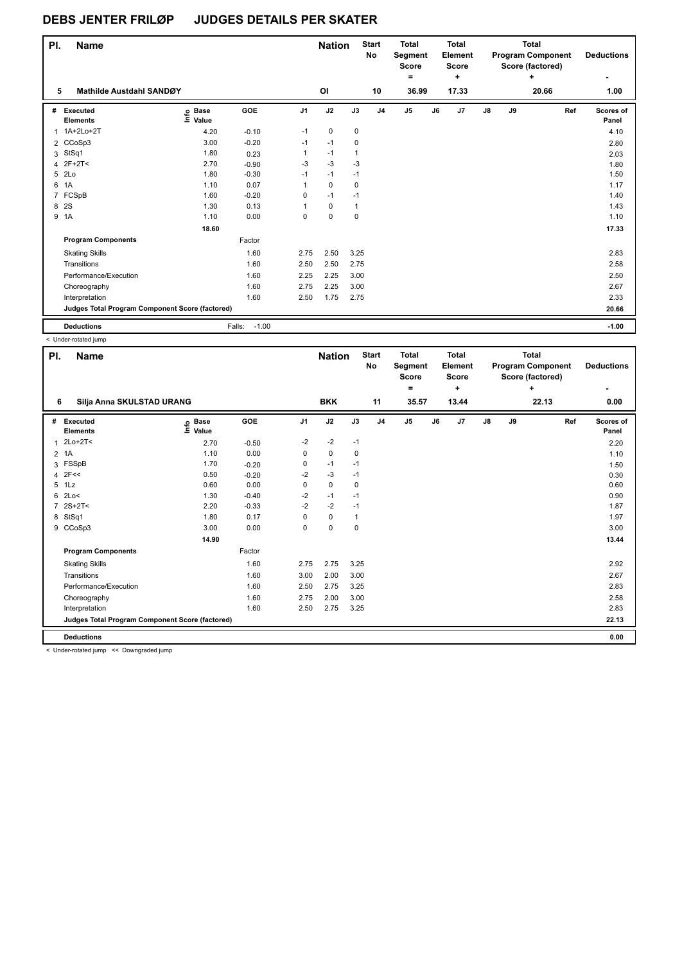| PI.            | <b>Name</b>                                     |                                  |                   |                | <b>Nation</b> |              | <b>Start</b><br><b>No</b> | <b>Total</b><br>Segment<br><b>Score</b><br>۰ |    | <b>Total</b><br>Element<br><b>Score</b><br>$\ddot{}$ |               |    | <b>Total</b><br><b>Program Component</b><br>Score (factored) | <b>Deductions</b><br>۰ |
|----------------|-------------------------------------------------|----------------------------------|-------------------|----------------|---------------|--------------|---------------------------|----------------------------------------------|----|------------------------------------------------------|---------------|----|--------------------------------------------------------------|------------------------|
| 5              | <b>Mathilde Austdahl SANDØY</b>                 |                                  |                   |                | OI            |              | 10                        | 36.99                                        |    | 17.33                                                |               |    | 20.66                                                        | 1.00                   |
| #              | Executed<br><b>Elements</b>                     | <b>Base</b><br>e Base<br>⊑ Value | GOE               | J <sub>1</sub> | J2            | J3           | J <sub>4</sub>            | $\mathsf{J}5$                                | J6 | J7                                                   | $\mathsf{J}8$ | J9 | Ref                                                          | Scores of<br>Panel     |
| 1              | 1A+2Lo+2T                                       | 4.20                             | $-0.10$           | $-1$           | $\mathbf 0$   | $\mathbf 0$  |                           |                                              |    |                                                      |               |    |                                                              | 4.10                   |
|                | 2 CCoSp3                                        | 3.00                             | $-0.20$           | $-1$           | $-1$          | 0            |                           |                                              |    |                                                      |               |    |                                                              | 2.80                   |
| 3              | StSq1                                           | 1.80                             | 0.23              | 1              | $-1$          | 1            |                           |                                              |    |                                                      |               |    |                                                              | 2.03                   |
| 4              | $2F+2T<$                                        | 2.70                             | $-0.90$           | $-3$           | $-3$          | $-3$         |                           |                                              |    |                                                      |               |    |                                                              | 1.80                   |
| 5              | 2Lo                                             | 1.80                             | $-0.30$           | $-1$           | $-1$          | $-1$         |                           |                                              |    |                                                      |               |    |                                                              | 1.50                   |
| 6              | 1A                                              | 1.10                             | 0.07              | 1              | $\mathbf 0$   | $\mathbf 0$  |                           |                                              |    |                                                      |               |    |                                                              | 1.17                   |
| $\overline{7}$ | FCSpB                                           | 1.60                             | $-0.20$           | 0              | $-1$          | $-1$         |                           |                                              |    |                                                      |               |    |                                                              | 1.40                   |
| 8              | 2S                                              | 1.30                             | 0.13              | 1              | $\mathbf 0$   | $\mathbf{1}$ |                           |                                              |    |                                                      |               |    |                                                              | 1.43                   |
| 9              | 1A                                              | 1.10                             | 0.00              | 0              | $\mathbf 0$   | $\mathbf 0$  |                           |                                              |    |                                                      |               |    |                                                              | 1.10                   |
|                |                                                 | 18.60                            |                   |                |               |              |                           |                                              |    |                                                      |               |    |                                                              | 17.33                  |
|                | <b>Program Components</b>                       |                                  | Factor            |                |               |              |                           |                                              |    |                                                      |               |    |                                                              |                        |
|                | <b>Skating Skills</b>                           |                                  | 1.60              | 2.75           | 2.50          | 3.25         |                           |                                              |    |                                                      |               |    |                                                              | 2.83                   |
|                | Transitions                                     |                                  | 1.60              | 2.50           | 2.50          | 2.75         |                           |                                              |    |                                                      |               |    |                                                              | 2.58                   |
|                | Performance/Execution                           |                                  | 1.60              | 2.25           | 2.25          | 3.00         |                           |                                              |    |                                                      |               |    |                                                              | 2.50                   |
|                | Choreography                                    |                                  | 1.60              | 2.75           | 2.25          | 3.00         |                           |                                              |    |                                                      |               |    |                                                              | 2.67                   |
|                | Interpretation                                  |                                  | 1.60              | 2.50           | 1.75          | 2.75         |                           |                                              |    |                                                      |               |    |                                                              | 2.33                   |
|                | Judges Total Program Component Score (factored) |                                  |                   |                |               |              |                           |                                              |    |                                                      |               |    |                                                              | 20.66                  |
|                | <b>Deductions</b>                               |                                  | Falls:<br>$-1.00$ |                |               |              |                           |                                              |    |                                                      |               |    |                                                              | $-1.00$                |

< Under-rotated jump

| PI.            | <b>Name</b>                                           |                              |         |                | <b>Nation</b> |      | <b>Start</b><br>No | <b>Total</b><br>Segment<br><b>Score</b><br>$=$ |    | <b>Total</b><br>Element<br><b>Score</b><br>÷ |    |    | Total<br><b>Program Component</b><br>Score (factored)<br>÷ | <b>Deductions</b>  |
|----------------|-------------------------------------------------------|------------------------------|---------|----------------|---------------|------|--------------------|------------------------------------------------|----|----------------------------------------------|----|----|------------------------------------------------------------|--------------------|
| 6              | Silja Anna SKULSTAD URANG                             |                              |         |                | <b>BKK</b>    |      | 11                 | 35.57                                          |    | 13.44                                        |    |    | 22.13                                                      | 0.00               |
| #              | Executed<br><b>Elements</b>                           | <b>Base</b><br>١mfo<br>Value | GOE     | J <sub>1</sub> | J2            | J3   | J <sub>4</sub>     | J <sub>5</sub>                                 | J6 | J <sub>7</sub>                               | J8 | J9 | Ref                                                        | Scores of<br>Panel |
| 1              | $2Lo+2T<$                                             | 2.70                         | $-0.50$ | $-2$           | $-2$          | $-1$ |                    |                                                |    |                                              |    |    |                                                            | 2.20               |
| $\overline{2}$ | 1A                                                    | 1.10                         | 0.00    | 0              | $\mathbf 0$   | 0    |                    |                                                |    |                                              |    |    |                                                            | 1.10               |
| 3              | FSSpB                                                 | 1.70                         | $-0.20$ | 0              | $-1$          | $-1$ |                    |                                                |    |                                              |    |    |                                                            | 1.50               |
| 4              | 2F<<                                                  | 0.50                         | $-0.20$ | $-2$           | $-3$          | $-1$ |                    |                                                |    |                                              |    |    |                                                            | 0.30               |
| 5              | 1Lz                                                   | 0.60                         | 0.00    | 0              | $\mathbf 0$   | 0    |                    |                                                |    |                                              |    |    |                                                            | 0.60               |
| 6              | 2Lo<                                                  | 1.30                         | $-0.40$ | $-2$           | $-1$          | $-1$ |                    |                                                |    |                                              |    |    |                                                            | 0.90               |
| $\overline{7}$ | $2S+2T2$                                              | 2.20                         | $-0.33$ | $-2$           | $-2$          | $-1$ |                    |                                                |    |                                              |    |    |                                                            | 1.87               |
|                | 8 StSq1                                               | 1.80                         | 0.17    | 0              | 0             | 1    |                    |                                                |    |                                              |    |    |                                                            | 1.97               |
|                | 9 CCoSp3                                              | 3.00                         | 0.00    | 0              | 0             | 0    |                    |                                                |    |                                              |    |    |                                                            | 3.00               |
|                |                                                       | 14.90                        |         |                |               |      |                    |                                                |    |                                              |    |    |                                                            | 13.44              |
|                | <b>Program Components</b>                             |                              | Factor  |                |               |      |                    |                                                |    |                                              |    |    |                                                            |                    |
|                | <b>Skating Skills</b>                                 |                              | 1.60    | 2.75           | 2.75          | 3.25 |                    |                                                |    |                                              |    |    |                                                            | 2.92               |
|                | Transitions                                           |                              | 1.60    | 3.00           | 2.00          | 3.00 |                    |                                                |    |                                              |    |    |                                                            | 2.67               |
|                | Performance/Execution                                 |                              | 1.60    | 2.50           | 2.75          | 3.25 |                    |                                                |    |                                              |    |    |                                                            | 2.83               |
|                | Choreography                                          |                              | 1.60    | 2.75           | 2.00          | 3.00 |                    |                                                |    |                                              |    |    |                                                            | 2.58               |
|                | Interpretation                                        |                              | 1.60    | 2.50           | 2.75          | 3.25 |                    |                                                |    |                                              |    |    |                                                            | 2.83               |
|                | Judges Total Program Component Score (factored)       |                              |         |                |               |      |                    |                                                |    |                                              |    |    |                                                            | 22.13              |
|                | <b>Deductions</b>                                     |                              |         |                |               |      |                    |                                                |    |                                              |    |    |                                                            | 0.00               |
|                | $\sim$ $\sim$ $\sim$ $\sim$ $\sim$ $\sim$ $\sim$<br>. |                              |         |                |               |      |                    |                                                |    |                                              |    |    |                                                            |                    |

< Under-rotated jump << Downgraded jump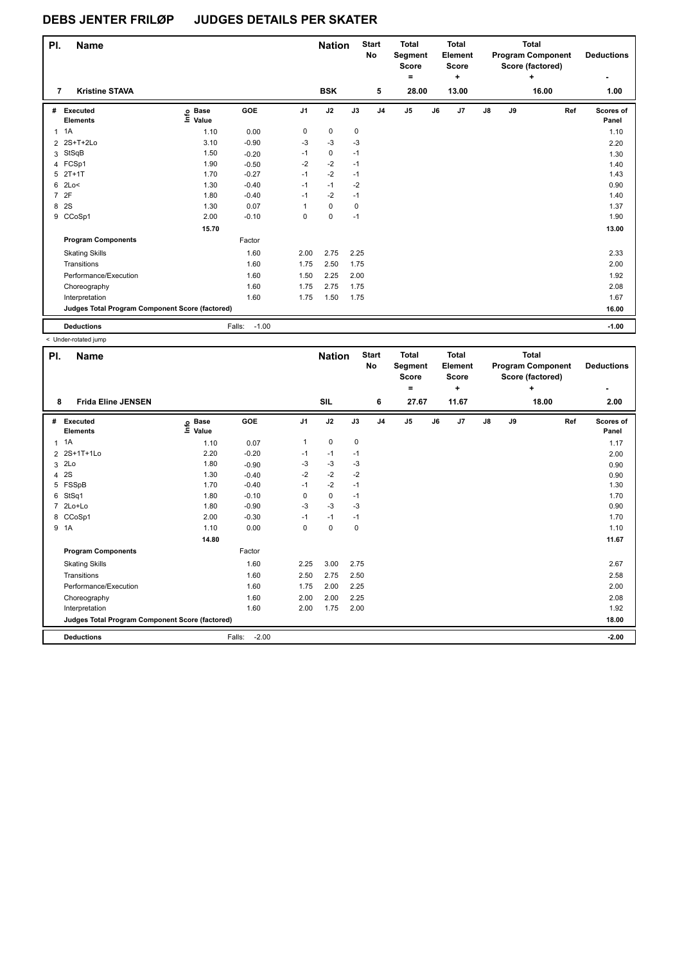| PI.            | <b>Name</b>                                     |                            |                   |                | <b>Nation</b> |      | <b>Start</b><br>No | <b>Total</b><br>Segment<br><b>Score</b><br>٠ |    | <b>Total</b><br>Element<br>Score<br>$\ddot{}$ |               |    | <b>Total</b><br><b>Program Component</b><br>Score (factored)<br>٠ | <b>Deductions</b>  |
|----------------|-------------------------------------------------|----------------------------|-------------------|----------------|---------------|------|--------------------|----------------------------------------------|----|-----------------------------------------------|---------------|----|-------------------------------------------------------------------|--------------------|
| 7              | <b>Kristine STAVA</b>                           |                            |                   |                | <b>BSK</b>    |      | 5                  | 28.00                                        |    | 13.00                                         |               |    | 16.00                                                             | 1.00               |
| #              | Executed<br><b>Elements</b>                     | e Base<br>E Value<br>Value | GOE               | J <sub>1</sub> | J2            | J3   | J <sub>4</sub>     | J5                                           | J6 | J7                                            | $\mathsf{J}8$ | J9 | Ref                                                               | Scores of<br>Panel |
| $\mathbf{1}$   | 1A                                              | 1.10                       | 0.00              | 0              | 0             | 0    |                    |                                              |    |                                               |               |    |                                                                   | 1.10               |
|                | 2 2S+T+2Lo                                      | 3.10                       | $-0.90$           | $-3$           | $-3$          | -3   |                    |                                              |    |                                               |               |    |                                                                   | 2.20               |
| 3              | StSqB                                           | 1.50                       | $-0.20$           | $-1$           | 0             | $-1$ |                    |                                              |    |                                               |               |    |                                                                   | 1.30               |
|                | 4 FCSp1                                         | 1.90                       | $-0.50$           | $-2$           | $-2$          | $-1$ |                    |                                              |    |                                               |               |    |                                                                   | 1.40               |
| 5              | $2T+1T$                                         | 1.70                       | $-0.27$           | $-1$           | $-2$          | $-1$ |                    |                                              |    |                                               |               |    |                                                                   | 1.43               |
| 6              | 2Lo<                                            | 1.30                       | $-0.40$           | $-1$           | $-1$          | $-2$ |                    |                                              |    |                                               |               |    |                                                                   | 0.90               |
| $\overline{7}$ | 2F                                              | 1.80                       | $-0.40$           | $-1$           | $-2$          | $-1$ |                    |                                              |    |                                               |               |    |                                                                   | 1.40               |
| 8              | 2S                                              | 1.30                       | 0.07              | 1              | 0             | 0    |                    |                                              |    |                                               |               |    |                                                                   | 1.37               |
| 9              | CCoSp1                                          | 2.00                       | $-0.10$           | 0              | $\mathbf 0$   | $-1$ |                    |                                              |    |                                               |               |    |                                                                   | 1.90               |
|                |                                                 | 15.70                      |                   |                |               |      |                    |                                              |    |                                               |               |    |                                                                   | 13.00              |
|                | <b>Program Components</b>                       |                            | Factor            |                |               |      |                    |                                              |    |                                               |               |    |                                                                   |                    |
|                | <b>Skating Skills</b>                           |                            | 1.60              | 2.00           | 2.75          | 2.25 |                    |                                              |    |                                               |               |    |                                                                   | 2.33               |
|                | Transitions                                     |                            | 1.60              | 1.75           | 2.50          | 1.75 |                    |                                              |    |                                               |               |    |                                                                   | 2.00               |
|                | Performance/Execution                           |                            | 1.60              | 1.50           | 2.25          | 2.00 |                    |                                              |    |                                               |               |    |                                                                   | 1.92               |
|                | Choreography                                    |                            | 1.60              | 1.75           | 2.75          | 1.75 |                    |                                              |    |                                               |               |    |                                                                   | 2.08               |
|                | Interpretation                                  |                            | 1.60              | 1.75           | 1.50          | 1.75 |                    |                                              |    |                                               |               |    |                                                                   | 1.67               |
|                | Judges Total Program Component Score (factored) |                            |                   |                |               |      |                    |                                              |    |                                               |               |    |                                                                   | 16.00              |
|                | <b>Deductions</b>                               |                            | $-1.00$<br>Falls: |                |               |      |                    |                                              |    |                                               |               |    |                                                                   | $-1.00$            |

< Under-rotated jump

| PI.            | <b>Name</b>                                     |                            |                   |                | <b>Nation</b> |             | <b>Start</b><br><b>No</b> | <b>Total</b><br>Segment<br><b>Score</b><br>۰ |    | <b>Total</b><br>Element<br>Score<br>÷ |               |    | <b>Total</b><br><b>Program Component</b><br>Score (factored)<br>÷ | <b>Deductions</b>  |
|----------------|-------------------------------------------------|----------------------------|-------------------|----------------|---------------|-------------|---------------------------|----------------------------------------------|----|---------------------------------------|---------------|----|-------------------------------------------------------------------|--------------------|
| 8              | <b>Frida Eline JENSEN</b>                       |                            |                   |                | <b>SIL</b>    |             | 6                         | 27.67                                        |    | 11.67                                 |               |    | 18.00                                                             | 2.00               |
| #              | Executed<br><b>Elements</b>                     | <b>Base</b><br>١m<br>Value | GOE               | J <sub>1</sub> | J2            | J3          | J <sub>4</sub>            | J <sub>5</sub>                               | J6 | J7                                    | $\mathsf{J}8$ | J9 | Ref                                                               | Scores of<br>Panel |
| 1              | 1A                                              | 1.10                       | 0.07              | $\mathbf{1}$   | 0             | 0           |                           |                                              |    |                                       |               |    |                                                                   | 1.17               |
| $\overline{2}$ | 2S+1T+1Lo                                       | 2.20                       | $-0.20$           | $-1$           | $-1$          | $-1$        |                           |                                              |    |                                       |               |    |                                                                   | 2.00               |
| 3              | 2Lo                                             | 1.80                       | $-0.90$           | -3             | $-3$          | -3          |                           |                                              |    |                                       |               |    |                                                                   | 0.90               |
| 4              | 2S                                              | 1.30                       | $-0.40$           | $-2$           | $-2$          | $-2$        |                           |                                              |    |                                       |               |    |                                                                   | 0.90               |
| 5              | FSSpB                                           | 1.70                       | $-0.40$           | $-1$           | $-2$          | $-1$        |                           |                                              |    |                                       |               |    |                                                                   | 1.30               |
| 6              | StSq1                                           | 1.80                       | $-0.10$           | 0              | 0             | $-1$        |                           |                                              |    |                                       |               |    |                                                                   | 1.70               |
|                | 2Lo+Lo                                          | 1.80                       | $-0.90$           | $-3$           | $-3$          | $-3$        |                           |                                              |    |                                       |               |    |                                                                   | 0.90               |
| 8              | CCoSp1                                          | 2.00                       | $-0.30$           | $-1$           | $-1$          | $-1$        |                           |                                              |    |                                       |               |    |                                                                   | 1.70               |
|                | 9 1A                                            | 1.10                       | 0.00              | 0              | $\mathbf 0$   | $\mathbf 0$ |                           |                                              |    |                                       |               |    |                                                                   | 1.10               |
|                |                                                 | 14.80                      |                   |                |               |             |                           |                                              |    |                                       |               |    |                                                                   | 11.67              |
|                | <b>Program Components</b>                       |                            | Factor            |                |               |             |                           |                                              |    |                                       |               |    |                                                                   |                    |
|                | <b>Skating Skills</b>                           |                            | 1.60              | 2.25           | 3.00          | 2.75        |                           |                                              |    |                                       |               |    |                                                                   | 2.67               |
|                | Transitions                                     |                            | 1.60              | 2.50           | 2.75          | 2.50        |                           |                                              |    |                                       |               |    |                                                                   | 2.58               |
|                | Performance/Execution                           |                            | 1.60              | 1.75           | 2.00          | 2.25        |                           |                                              |    |                                       |               |    |                                                                   | 2.00               |
|                | Choreography                                    |                            | 1.60              | 2.00           | 2.00          | 2.25        |                           |                                              |    |                                       |               |    |                                                                   | 2.08               |
|                | Interpretation                                  |                            | 1.60              | 2.00           | 1.75          | 2.00        |                           |                                              |    |                                       |               |    |                                                                   | 1.92               |
|                | Judges Total Program Component Score (factored) |                            |                   |                |               |             |                           |                                              |    |                                       |               |    |                                                                   | 18.00              |
|                | <b>Deductions</b>                               |                            | Falls:<br>$-2.00$ |                |               |             |                           |                                              |    |                                       |               |    |                                                                   | $-2.00$            |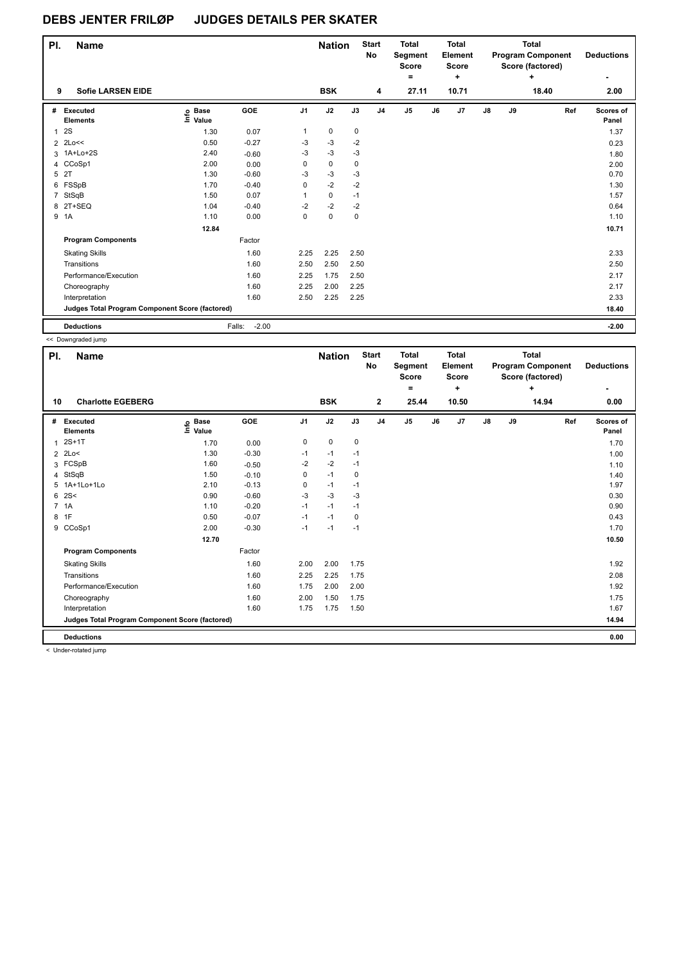| PI.            | <b>Name</b>                                     |                            |                   |                | <b>Nation</b> |             | <b>Start</b><br>No | <b>Total</b><br>Segment<br><b>Score</b><br>٠ |    | <b>Total</b><br>Element<br>Score<br>$\ddot{}$ |               |    | <b>Total</b><br><b>Program Component</b><br>Score (factored)<br>٠ | <b>Deductions</b>  |
|----------------|-------------------------------------------------|----------------------------|-------------------|----------------|---------------|-------------|--------------------|----------------------------------------------|----|-----------------------------------------------|---------------|----|-------------------------------------------------------------------|--------------------|
| 9              | <b>Sofie LARSEN EIDE</b>                        |                            |                   |                | <b>BSK</b>    |             | 4                  | 27.11                                        |    | 10.71                                         |               |    | 18.40                                                             | 2.00               |
| #              | Executed<br><b>Elements</b>                     | e Base<br>E Value<br>Value | GOE               | J <sub>1</sub> | J2            | J3          | J <sub>4</sub>     | J5                                           | J6 | J7                                            | $\mathsf{J}8$ | J9 | Ref                                                               | Scores of<br>Panel |
| $\mathbf{1}$   | 2S                                              | 1.30                       | 0.07              | $\mathbf{1}$   | 0             | 0           |                    |                                              |    |                                               |               |    |                                                                   | 1.37               |
|                | 2 2Lo<<                                         | 0.50                       | $-0.27$           | -3             | $-3$          | $-2$        |                    |                                              |    |                                               |               |    |                                                                   | 0.23               |
| 3              | 1A+Lo+2S                                        | 2.40                       | $-0.60$           | $-3$           | $-3$          | $-3$        |                    |                                              |    |                                               |               |    |                                                                   | 1.80               |
|                | 4 CCoSp1                                        | 2.00                       | 0.00              | 0              | $\mathbf 0$   | $\mathbf 0$ |                    |                                              |    |                                               |               |    |                                                                   | 2.00               |
| 5              | 2T                                              | 1.30                       | $-0.60$           | $-3$           | $-3$          | $-3$        |                    |                                              |    |                                               |               |    |                                                                   | 0.70               |
| 6              | FSSpB                                           | 1.70                       | $-0.40$           | 0              | $-2$          | $-2$        |                    |                                              |    |                                               |               |    |                                                                   | 1.30               |
| $\overline{7}$ | StSqB                                           | 1.50                       | 0.07              | 1              | $\mathbf 0$   | $-1$        |                    |                                              |    |                                               |               |    |                                                                   | 1.57               |
| 8              | 2T+SEQ                                          | 1.04                       | $-0.40$           | $-2$           | $-2$          | $-2$        |                    |                                              |    |                                               |               |    |                                                                   | 0.64               |
|                | 9 1A                                            | 1.10                       | 0.00              | 0              | $\mathbf 0$   | 0           |                    |                                              |    |                                               |               |    |                                                                   | 1.10               |
|                |                                                 | 12.84                      |                   |                |               |             |                    |                                              |    |                                               |               |    |                                                                   | 10.71              |
|                | <b>Program Components</b>                       |                            | Factor            |                |               |             |                    |                                              |    |                                               |               |    |                                                                   |                    |
|                | <b>Skating Skills</b>                           |                            | 1.60              | 2.25           | 2.25          | 2.50        |                    |                                              |    |                                               |               |    |                                                                   | 2.33               |
|                | Transitions                                     |                            | 1.60              | 2.50           | 2.50          | 2.50        |                    |                                              |    |                                               |               |    |                                                                   | 2.50               |
|                | Performance/Execution                           |                            | 1.60              | 2.25           | 1.75          | 2.50        |                    |                                              |    |                                               |               |    |                                                                   | 2.17               |
|                | Choreography                                    |                            | 1.60              | 2.25           | 2.00          | 2.25        |                    |                                              |    |                                               |               |    |                                                                   | 2.17               |
|                | Interpretation                                  |                            | 1.60              | 2.50           | 2.25          | 2.25        |                    |                                              |    |                                               |               |    |                                                                   | 2.33               |
|                | Judges Total Program Component Score (factored) |                            |                   |                |               |             |                    |                                              |    |                                               |               |    |                                                                   | 18.40              |
|                | <b>Deductions</b>                               |                            | $-2.00$<br>Falls: |                |               |             |                    |                                              |    |                                               |               |    |                                                                   | $-2.00$            |

<< Downgraded jump

| PI.            | <b>Name</b>                                     |                              |            |                | <b>Nation</b> |             | <b>Start</b><br>No | <b>Total</b><br>Segment<br><b>Score</b><br>۰ |    | Total<br>Element<br><b>Score</b><br>÷ |    |    | Total<br><b>Program Component</b><br>Score (factored)<br>÷ | <b>Deductions</b>  |
|----------------|-------------------------------------------------|------------------------------|------------|----------------|---------------|-------------|--------------------|----------------------------------------------|----|---------------------------------------|----|----|------------------------------------------------------------|--------------------|
| 10             | <b>Charlotte EGEBERG</b>                        |                              |            |                | <b>BSK</b>    |             | $\mathbf{2}$       | 25.44                                        |    | 10.50                                 |    |    | 14.94                                                      | 0.00               |
| #              | Executed<br><b>Elements</b>                     | <b>Base</b><br>١mfo<br>Value | <b>GOE</b> | J <sub>1</sub> | J2            | J3          | J <sub>4</sub>     | J <sub>5</sub>                               | J6 | J <sub>7</sub>                        | J8 | J9 | Ref                                                        | Scores of<br>Panel |
| 1              | $2S+1T$                                         | 1.70                         | 0.00       | 0              | $\mathbf 0$   | $\mathbf 0$ |                    |                                              |    |                                       |    |    |                                                            | 1.70               |
| $\overline{2}$ | 2Lo<                                            | 1.30                         | $-0.30$    | $-1$           | $-1$          | $-1$        |                    |                                              |    |                                       |    |    |                                                            | 1.00               |
| 3              | FCSpB                                           | 1.60                         | $-0.50$    | $-2$           | $-2$          | $-1$        |                    |                                              |    |                                       |    |    |                                                            | 1.10               |
| $\overline{4}$ | StSqB                                           | 1.50                         | $-0.10$    | 0              | $-1$          | $\mathbf 0$ |                    |                                              |    |                                       |    |    |                                                            | 1.40               |
|                | 5 1A+1Lo+1Lo                                    | 2.10                         | $-0.13$    | 0              | $-1$          | $-1$        |                    |                                              |    |                                       |    |    |                                                            | 1.97               |
| 6              | 2S<                                             | 0.90                         | $-0.60$    | $-3$           | $-3$          | $-3$        |                    |                                              |    |                                       |    |    |                                                            | 0.30               |
|                | 7 1A                                            | 1.10                         | $-0.20$    | $-1$           | $-1$          | $-1$        |                    |                                              |    |                                       |    |    |                                                            | 0.90               |
| 8              | 1F                                              | 0.50                         | $-0.07$    | $-1$           | $-1$          | 0           |                    |                                              |    |                                       |    |    |                                                            | 0.43               |
| 9              | CCoSp1                                          | 2.00                         | $-0.30$    | $-1$           | $-1$          | $-1$        |                    |                                              |    |                                       |    |    |                                                            | 1.70               |
|                |                                                 | 12.70                        |            |                |               |             |                    |                                              |    |                                       |    |    |                                                            | 10.50              |
|                | <b>Program Components</b>                       |                              | Factor     |                |               |             |                    |                                              |    |                                       |    |    |                                                            |                    |
|                | <b>Skating Skills</b>                           |                              | 1.60       | 2.00           | 2.00          | 1.75        |                    |                                              |    |                                       |    |    |                                                            | 1.92               |
|                | Transitions                                     |                              | 1.60       | 2.25           | 2.25          | 1.75        |                    |                                              |    |                                       |    |    |                                                            | 2.08               |
|                | Performance/Execution                           |                              | 1.60       | 1.75           | 2.00          | 2.00        |                    |                                              |    |                                       |    |    |                                                            | 1.92               |
|                | Choreography                                    |                              | 1.60       | 2.00           | 1.50          | 1.75        |                    |                                              |    |                                       |    |    |                                                            | 1.75               |
|                | Interpretation                                  |                              | 1.60       | 1.75           | 1.75          | 1.50        |                    |                                              |    |                                       |    |    |                                                            | 1.67               |
|                | Judges Total Program Component Score (factored) |                              |            |                |               |             |                    |                                              |    |                                       |    |    |                                                            | 14.94              |
|                | <b>Deductions</b>                               |                              |            |                |               |             |                    |                                              |    |                                       |    |    |                                                            | 0.00               |

< Under-rotated jump